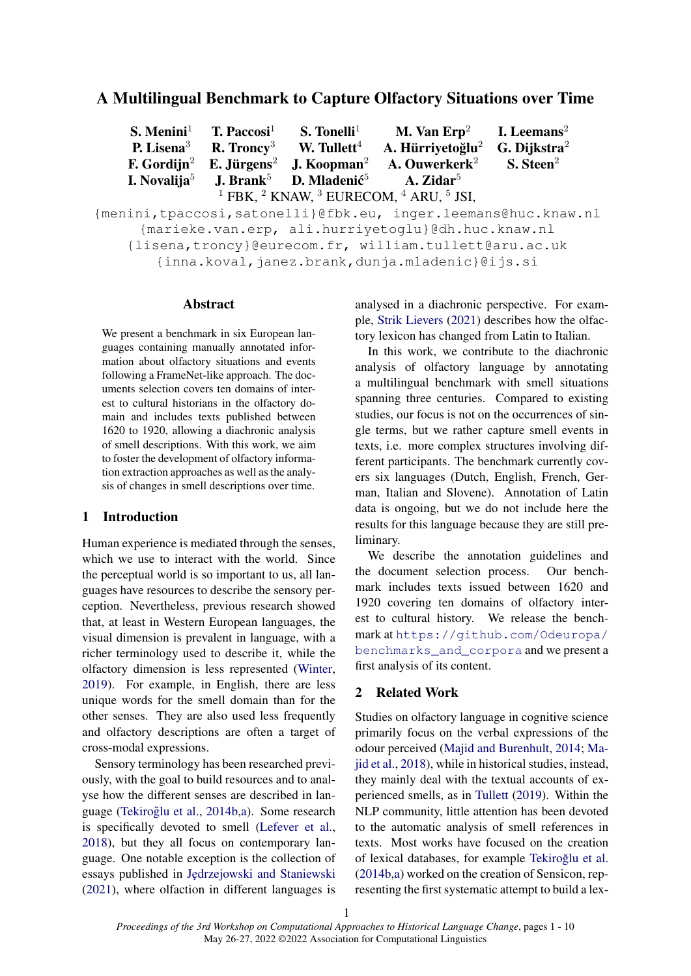# A Multilingual Benchmark to Capture Olfactory Situations over Time

S. Menini<sup>1</sup> T. Paccosi<sup>1</sup> S. Tonelli<sup>1</sup> M. Van Erp<sup>2</sup> I. Leemans<sup>2</sup> P. Lisena<sup>3</sup> R. Troncy<sup>3</sup> W. Tullett<sup>4</sup> A. Hürriyetoğlu<sup>2</sup> G. Dijkstra<sup>2</sup> F. Gordijn<sup>2</sup> E. Jürgens<sup>2</sup> J. Koopman<sup>2</sup> A. Ouwerkerk<sup>2</sup> S. Steen<sup>2</sup> I. Novalija<sup>5</sup> J. Brank<sup>5</sup> D. Mladenić<sup>5</sup> A. Zidar $5$  $^1$  FBK,  $^2$  KNAW,  $^3$  EURECOM,  $^4$  ARU,  $^5$  JSI,

{menini,tpaccosi,satonelli}@fbk.eu, inger.leemans@huc.knaw.nl {marieke.van.erp, ali.hurriyetoglu}@dh.huc.knaw.nl {lisena,troncy}@eurecom.fr, william.tullett@aru.ac.uk {inna.koval,janez.brank,dunja.mladenic}@ijs.si

## Abstract

We present a benchmark in six European languages containing manually annotated information about olfactory situations and events following a FrameNet-like approach. The documents selection covers ten domains of interest to cultural historians in the olfactory domain and includes texts published between 1620 to 1920, allowing a diachronic analysis of smell descriptions. With this work, we aim to foster the development of olfactory information extraction approaches as well as the analysis of changes in smell descriptions over time.

## 1 Introduction

Human experience is mediated through the senses, which we use to interact with the world. Since the perceptual world is so important to us, all languages have resources to describe the sensory perception. Nevertheless, previous research showed that, at least in Western European languages, the visual dimension is prevalent in language, with a richer terminology used to describe it, while the olfactory dimension is less represented [\(Winter,](#page-9-0) [2019\)](#page-9-0). For example, in English, there are less unique words for the smell domain than for the other senses. They are also used less frequently and olfactory descriptions are often a target of cross-modal expressions.

Sensory terminology has been researched previously, with the goal to build resources and to analyse how the different senses are described in lan-guage (Tekiroğlu et al., [2014b,](#page-9-1)[a\)](#page-9-2). Some research is specifically devoted to smell [\(Lefever et al.,](#page-8-0) [2018\)](#page-8-0), but they all focus on contemporary language. One notable exception is the collection of essays published in [J˛edrzejowski and Staniewski](#page-8-1) [\(2021\)](#page-8-1), where olfaction in different languages is analysed in a diachronic perspective. For example, [Strik Lievers](#page-9-3) [\(2021\)](#page-9-3) describes how the olfactory lexicon has changed from Latin to Italian.

In this work, we contribute to the diachronic analysis of olfactory language by annotating a multilingual benchmark with smell situations spanning three centuries. Compared to existing studies, our focus is not on the occurrences of single terms, but we rather capture smell events in texts, i.e. more complex structures involving different participants. The benchmark currently covers six languages (Dutch, English, French, German, Italian and Slovene). Annotation of Latin data is ongoing, but we do not include here the results for this language because they are still preliminary.

We describe the annotation guidelines and the document selection process. Our benchmark includes texts issued between 1620 and 1920 covering ten domains of olfactory interest to cultural history. We release the benchmark at [https://github.com/Odeuropa/](https://github.com/Odeuropa/benchmarks_and_corpora) [benchmarks\\_and\\_corpora](https://github.com/Odeuropa/benchmarks_and_corpora) and we present a first analysis of its content.

## 2 Related Work

Studies on olfactory language in cognitive science primarily focus on the verbal expressions of the odour perceived [\(Majid and Burenhult,](#page-8-2) [2014;](#page-8-2) [Ma](#page-8-3)[jid et al.,](#page-8-3) [2018\)](#page-8-3), while in historical studies, instead, they mainly deal with the textual accounts of experienced smells, as in [Tullett](#page-9-4) [\(2019\)](#page-9-4). Within the NLP community, little attention has been devoted to the automatic analysis of smell references in texts. Most works have focused on the creation of lexical databases, for example [Tekiroglu et al.](#page-9-1) ˘ [\(2014b,](#page-9-1)[a\)](#page-9-2) worked on the creation of Sensicon, representing the first systematic attempt to build a lex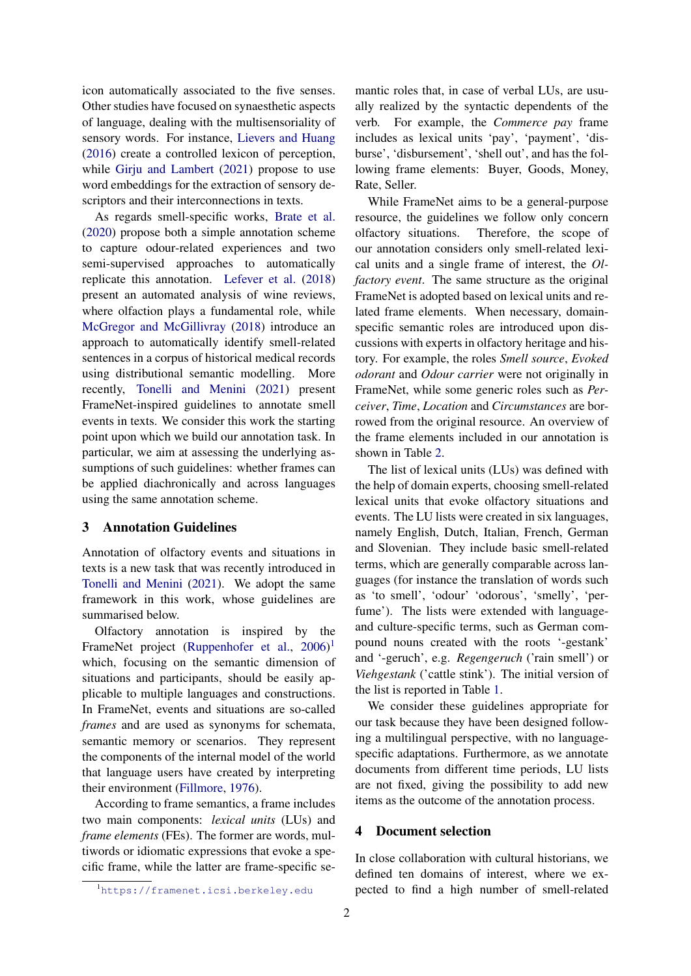icon automatically associated to the five senses. Other studies have focused on synaesthetic aspects of language, dealing with the multisensoriality of sensory words. For instance, [Lievers and Huang](#page-8-4) [\(2016\)](#page-8-4) create a controlled lexicon of perception, while [Girju and Lambert](#page-8-5) [\(2021\)](#page-8-5) propose to use word embeddings for the extraction of sensory descriptors and their interconnections in texts.

As regards smell-specific works, [Brate et al.](#page-8-6) [\(2020\)](#page-8-6) propose both a simple annotation scheme to capture odour-related experiences and two semi-supervised approaches to automatically replicate this annotation. [Lefever et al.](#page-8-0) [\(2018\)](#page-8-0) present an automated analysis of wine reviews, where olfaction plays a fundamental role, while [McGregor and McGillivray](#page-8-7) [\(2018\)](#page-8-7) introduce an approach to automatically identify smell-related sentences in a corpus of historical medical records using distributional semantic modelling. More recently, [Tonelli and Menini](#page-9-5) [\(2021\)](#page-9-5) present FrameNet-inspired guidelines to annotate smell events in texts. We consider this work the starting point upon which we build our annotation task. In particular, we aim at assessing the underlying assumptions of such guidelines: whether frames can be applied diachronically and across languages using the same annotation scheme.

## 3 Annotation Guidelines

Annotation of olfactory events and situations in texts is a new task that was recently introduced in [Tonelli and Menini](#page-9-5) [\(2021\)](#page-9-5). We adopt the same framework in this work, whose guidelines are summarised below.

Olfactory annotation is inspired by the FrameNet project [\(Ruppenhofer et al.,](#page-8-8) [2006\)](#page-8-8)<sup>[1](#page-1-0)</sup> which, focusing on the semantic dimension of situations and participants, should be easily applicable to multiple languages and constructions. In FrameNet, events and situations are so-called *frames* and are used as synonyms for schemata, semantic memory or scenarios. They represent the components of the internal model of the world that language users have created by interpreting their environment [\(Fillmore,](#page-8-9) [1976\)](#page-8-9).

According to frame semantics, a frame includes two main components: *lexical units* (LUs) and *frame elements* (FEs). The former are words, multiwords or idiomatic expressions that evoke a specific frame, while the latter are frame-specific semantic roles that, in case of verbal LUs, are usually realized by the syntactic dependents of the verb. For example, the *Commerce pay* frame includes as lexical units 'pay', 'payment', 'disburse', 'disbursement', 'shell out', and has the following frame elements: Buyer, Goods, Money, Rate, Seller.

While FrameNet aims to be a general-purpose resource, the guidelines we follow only concern olfactory situations. Therefore, the scope of our annotation considers only smell-related lexical units and a single frame of interest, the *Olfactory event*. The same structure as the original FrameNet is adopted based on lexical units and related frame elements. When necessary, domainspecific semantic roles are introduced upon discussions with experts in olfactory heritage and history. For example, the roles *Smell source*, *Evoked odorant* and *Odour carrier* were not originally in FrameNet, while some generic roles such as *Perceiver*, *Time*, *Location* and *Circumstances* are borrowed from the original resource. An overview of the frame elements included in our annotation is shown in Table [2.](#page-3-0)

The list of lexical units (LUs) was defined with the help of domain experts, choosing smell-related lexical units that evoke olfactory situations and events. The LU lists were created in six languages, namely English, Dutch, Italian, French, German and Slovenian. They include basic smell-related terms, which are generally comparable across languages (for instance the translation of words such as 'to smell', 'odour' 'odorous', 'smelly', 'perfume'). The lists were extended with languageand culture-specific terms, such as German compound nouns created with the roots '-gestank' and '-geruch', e.g. *Regengeruch* ('rain smell') or *Viehgestank* ('cattle stink'). The initial version of the list is reported in Table [1.](#page-2-0)

We consider these guidelines appropriate for our task because they have been designed following a multilingual perspective, with no languagespecific adaptations. Furthermore, as we annotate documents from different time periods, LU lists are not fixed, giving the possibility to add new items as the outcome of the annotation process.

### <span id="page-1-1"></span>4 Document selection

In close collaboration with cultural historians, we defined ten domains of interest, where we expected to find a high number of smell-related

<span id="page-1-0"></span><sup>1</sup><https://framenet.icsi.berkeley.edu>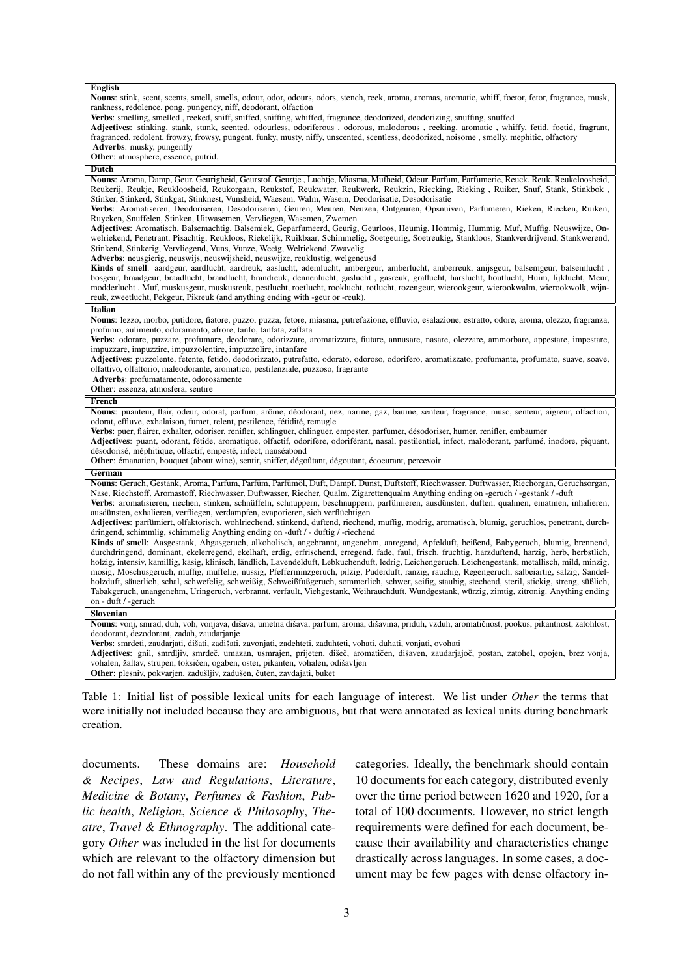<span id="page-2-0"></span>

| Nouns: stink, scent, scents, smell, smells, odour, odor, odours, odors, stench, reek, aroma, aromas, aromatic, whiff, foetor, fetor, fragrance, musk,<br>rankness, redolence, pong, pungency, niff, deodorant, olfaction<br>Verbs: smelling, smelled, reeked, sniff, sniffed, sniffing, whiffed, fragrance, deodorized, deodorizing, snuffing, snuffed<br>Adjectives: stinking, stank, stunk, scented, odourless, odoriferous, odorous, malodorous, reeking, aromatic, whiffy, fetid, foetid, fragrant,<br>fragranced, redolent, frowzy, frowsy, pungent, funky, musty, niffy, unscented, scentless, deodorized, noisome, smelly, mephitic, olfactory<br><b>Adverbs:</b> musky, pungently<br>Other: atmosphere, essence, putrid.<br><b>Dutch</b><br>Nouns: Aroma, Damp, Geur, Geurigheid, Geurstof, Geurtje, Luchtje, Miasma, Mufheid, Odeur, Parfum, Parfumerie, Reuck, Reuk, Reukeloosheid,<br>Reukerij, Reukje, Reukloosheid, Reukorgaan, Reukstof, Reukwater, Reukwerk, Reukzin, Riecking, Rieking, Ruiker, Snuf, Stank, Stinkbok,<br>Stinker, Stinkerd, Stinkgat, Stinknest, Vunsheid, Waesem, Walm, Wasem, Deodorisatie, Desodorisatie<br>Verbs: Aromatiseren, Deodoriseren, Desodoriseren, Geuren, Meuren, Neuzen, Ontgeuren, Opsnuiven, Parfumeren, Rieken, Riecken, Ruiken,<br>Ruycken, Snuffelen, Stinken, Uitwasemen, Vervliegen, Wasemen, Zwemen<br>Adjectives: Aromatisch, Balsemachtig, Balsemiek, Geparfumeerd, Geurig, Geurloos, Heumig, Hommig, Hummig, Muf, Muffig, Neuswijze, On-<br>welriekend, Penetrant, Pisachtig, Reukloos, Riekelijk, Ruikbaar, Schimmelig, Soetgeurig, Soetreukig, Stankloos, Stankverdrijvend, Stankwerend,<br>Stinkend, Stinkerig, Vervliegend, Vuns, Vunze, Weeïg, Welriekend, Zwavelig<br>Adverbs: neusgierig, neuswijs, neuswijsheid, neuswijze, reuklustig, welgeneusd<br>Kinds of smell: aardgeur, aardlucht, aardreuk, aaslucht, ademlucht, ambergeur, amberlucht, amberreuk, anijsgeur, balsemgeur, balsemlucht,<br>bosgeur, braadgeur, braadlucht, brandlucht, brandreuk, dennenlucht, gaslucht, gasreuk, graflucht, harslucht, houtlucht, Huim, lijklucht, Meur,<br>modderlucht, Muf, muskusgeur, muskusreuk, pestlucht, roetlucht, rooklucht, rotlucht, rozengeur, wierookgeur, wierookwalm, wierookwolk, wijn-<br>reuk, zweetlucht, Pekgeur, Pikreuk (and anything ending with -geur or -reuk).<br><b>Italian</b><br>Nouns: lezzo, morbo, putidore, fiatore, puzzo, puzza, fetore, miasma, putrefazione, effluvio, esalazione, estratto, odore, aroma, olezzo, fragranza,<br>profumo, aulimento, odoramento, afrore, tanfo, tanfata, zaffata<br>Verbs: odorare, puzzare, profumare, deodorare, odorizzare, aromatizzare, fiutare, annusare, nasare, olezzare, ammorbare, appestare, impestare,<br>impuzzare, impuzzire, impuzzolentire, impuzzolire, intanfare<br>Adjectives: puzzolente, fetente, fetido, deodorizzato, putrefatto, odorato, odoroso, odorifero, aromatizzato, profumante, profumato, suave, soave,<br>olfattivo, olfattorio, maleodorante, aromatico, pestilenziale, puzzoso, fragrante<br>Adverbs: profumatamente, odorosamente<br>Other: essenza, atmosfera, sentire<br>French<br>Nouns: puanteur, flair, odeur, odorat, parfum, arôme, déodorant, nez, narine, gaz, baume, senteur, fragrance, musc, senteur, aigreur, olfaction,<br>odorat, effluve, exhalaison, fumet, relent, pestilence, fétidité, remugle<br>Verbs: puer, flairer, exhalter, odoriser, renifler, schlinguer, chlinguer, empester, parfumer, désodoriser, humer, renifler, embaumer<br>Adjectives: puant, odorant, fétide, aromatique, olfactif, odorifère, odoriférant, nasal, pestilentiel, infect, malodorant, parfumé, inodore, piquant,<br>désodorisé, méphitique, olfactif, empesté, infect, nauséabond<br>Other: émanation, bouquet (about wine), sentir, sniffer, dégoûtant, dégoutant, écoeurant, percevoir<br>German<br>Nouns: Geruch, Gestank, Aroma, Parfum, Parfüm, Parfümöl, Duft, Dampf, Dunst, Duftstoff, Riechwasser, Duftwasser, Riechorgan, Geruchsorgan,<br>Nase, Riechstoff, Aromastoff, Riechwasser, Duftwasser, Riecher, Qualm, Zigarettenqualm Anything ending on -geruch / -gestank / -duft<br>Verbs: aromatisieren, riechen, stinken, schnüffeln, schnuppern, beschnuppern, parfümieren, ausdünsten, duften, qualmen, einatmen, inhalieren,<br>ausdünsten, exhalieren, verfliegen, verdampfen, evaporieren, sich verflüchtigen<br>Adjectives: parfümiert, olfaktorisch, wohlriechend, stinkend, duftend, riechend, muffig, modrig, aromatisch, blumig, geruchlos, penetrant, durch-<br>dringend, schimmlig, schimmelig Anything ending on -duft / - duftig / -riechend<br>Kinds of smell: Aasgestank, Abgasgeruch, alkoholisch, angebrannt, angenehm, anregend, Apfelduft, beißend, Babygeruch, blumig, brennend, |
|---------------------------------------------------------------------------------------------------------------------------------------------------------------------------------------------------------------------------------------------------------------------------------------------------------------------------------------------------------------------------------------------------------------------------------------------------------------------------------------------------------------------------------------------------------------------------------------------------------------------------------------------------------------------------------------------------------------------------------------------------------------------------------------------------------------------------------------------------------------------------------------------------------------------------------------------------------------------------------------------------------------------------------------------------------------------------------------------------------------------------------------------------------------------------------------------------------------------------------------------------------------------------------------------------------------------------------------------------------------------------------------------------------------------------------------------------------------------------------------------------------------------------------------------------------------------------------------------------------------------------------------------------------------------------------------------------------------------------------------------------------------------------------------------------------------------------------------------------------------------------------------------------------------------------------------------------------------------------------------------------------------------------------------------------------------------------------------------------------------------------------------------------------------------------------------------------------------------------------------------------------------------------------------------------------------------------------------------------------------------------------------------------------------------------------------------------------------------------------------------------------------------------------------------------------------------------------------------------------------------------------------------------------------------------------------------------------------------------------------------------------------------------------------------------------------------------------------------------------------------------------------------------------------------------------------------------------------------------------------------------------------------------------------------------------------------------------------------------------------------------------------------------------------------------------------------------------------------------------------------------------------------------------------------------------------------------------------------------------------------------------------------------------------------------------------------------------------------------------------------------------------------------------------------------------------------------------------------------------------------------------------------------------------------------------------------------------------------------------------------------------------------------------------------------------------------------------------------------------------------------------------------------------------------------------------------------------------------------------------------------------------------------------------------------------------------------------------------------------------------------------------------------------------------------------------------------------------------------------------------------------------------------------------------------------------------------------------------------------------------------------------------------------------------------------------------------------------------------------------------------------------------------------------------------------------------------------------------------------------------------------------------------------------------------------------------------------------------------------------------------------------------------------------------|
|                                                                                                                                                                                                                                                                                                                                                                                                                                                                                                                                                                                                                                                                                                                                                                                                                                                                                                                                                                                                                                                                                                                                                                                                                                                                                                                                                                                                                                                                                                                                                                                                                                                                                                                                                                                                                                                                                                                                                                                                                                                                                                                                                                                                                                                                                                                                                                                                                                                                                                                                                                                                                                                                                                                                                                                                                                                                                                                                                                                                                                                                                                                                                                                                                                                                                                                                                                                                                                                                                                                                                                                                                                                                                                                                                                                                                                                                                                                                                                                                                                                                                                                                                                                                                                                                                                                                                                                                                                                                                                                                                                                                                                                                                                                                                                                             |
|                                                                                                                                                                                                                                                                                                                                                                                                                                                                                                                                                                                                                                                                                                                                                                                                                                                                                                                                                                                                                                                                                                                                                                                                                                                                                                                                                                                                                                                                                                                                                                                                                                                                                                                                                                                                                                                                                                                                                                                                                                                                                                                                                                                                                                                                                                                                                                                                                                                                                                                                                                                                                                                                                                                                                                                                                                                                                                                                                                                                                                                                                                                                                                                                                                                                                                                                                                                                                                                                                                                                                                                                                                                                                                                                                                                                                                                                                                                                                                                                                                                                                                                                                                                                                                                                                                                                                                                                                                                                                                                                                                                                                                                                                                                                                                                             |
|                                                                                                                                                                                                                                                                                                                                                                                                                                                                                                                                                                                                                                                                                                                                                                                                                                                                                                                                                                                                                                                                                                                                                                                                                                                                                                                                                                                                                                                                                                                                                                                                                                                                                                                                                                                                                                                                                                                                                                                                                                                                                                                                                                                                                                                                                                                                                                                                                                                                                                                                                                                                                                                                                                                                                                                                                                                                                                                                                                                                                                                                                                                                                                                                                                                                                                                                                                                                                                                                                                                                                                                                                                                                                                                                                                                                                                                                                                                                                                                                                                                                                                                                                                                                                                                                                                                                                                                                                                                                                                                                                                                                                                                                                                                                                                                             |
|                                                                                                                                                                                                                                                                                                                                                                                                                                                                                                                                                                                                                                                                                                                                                                                                                                                                                                                                                                                                                                                                                                                                                                                                                                                                                                                                                                                                                                                                                                                                                                                                                                                                                                                                                                                                                                                                                                                                                                                                                                                                                                                                                                                                                                                                                                                                                                                                                                                                                                                                                                                                                                                                                                                                                                                                                                                                                                                                                                                                                                                                                                                                                                                                                                                                                                                                                                                                                                                                                                                                                                                                                                                                                                                                                                                                                                                                                                                                                                                                                                                                                                                                                                                                                                                                                                                                                                                                                                                                                                                                                                                                                                                                                                                                                                                             |
|                                                                                                                                                                                                                                                                                                                                                                                                                                                                                                                                                                                                                                                                                                                                                                                                                                                                                                                                                                                                                                                                                                                                                                                                                                                                                                                                                                                                                                                                                                                                                                                                                                                                                                                                                                                                                                                                                                                                                                                                                                                                                                                                                                                                                                                                                                                                                                                                                                                                                                                                                                                                                                                                                                                                                                                                                                                                                                                                                                                                                                                                                                                                                                                                                                                                                                                                                                                                                                                                                                                                                                                                                                                                                                                                                                                                                                                                                                                                                                                                                                                                                                                                                                                                                                                                                                                                                                                                                                                                                                                                                                                                                                                                                                                                                                                             |
|                                                                                                                                                                                                                                                                                                                                                                                                                                                                                                                                                                                                                                                                                                                                                                                                                                                                                                                                                                                                                                                                                                                                                                                                                                                                                                                                                                                                                                                                                                                                                                                                                                                                                                                                                                                                                                                                                                                                                                                                                                                                                                                                                                                                                                                                                                                                                                                                                                                                                                                                                                                                                                                                                                                                                                                                                                                                                                                                                                                                                                                                                                                                                                                                                                                                                                                                                                                                                                                                                                                                                                                                                                                                                                                                                                                                                                                                                                                                                                                                                                                                                                                                                                                                                                                                                                                                                                                                                                                                                                                                                                                                                                                                                                                                                                                             |
|                                                                                                                                                                                                                                                                                                                                                                                                                                                                                                                                                                                                                                                                                                                                                                                                                                                                                                                                                                                                                                                                                                                                                                                                                                                                                                                                                                                                                                                                                                                                                                                                                                                                                                                                                                                                                                                                                                                                                                                                                                                                                                                                                                                                                                                                                                                                                                                                                                                                                                                                                                                                                                                                                                                                                                                                                                                                                                                                                                                                                                                                                                                                                                                                                                                                                                                                                                                                                                                                                                                                                                                                                                                                                                                                                                                                                                                                                                                                                                                                                                                                                                                                                                                                                                                                                                                                                                                                                                                                                                                                                                                                                                                                                                                                                                                             |
|                                                                                                                                                                                                                                                                                                                                                                                                                                                                                                                                                                                                                                                                                                                                                                                                                                                                                                                                                                                                                                                                                                                                                                                                                                                                                                                                                                                                                                                                                                                                                                                                                                                                                                                                                                                                                                                                                                                                                                                                                                                                                                                                                                                                                                                                                                                                                                                                                                                                                                                                                                                                                                                                                                                                                                                                                                                                                                                                                                                                                                                                                                                                                                                                                                                                                                                                                                                                                                                                                                                                                                                                                                                                                                                                                                                                                                                                                                                                                                                                                                                                                                                                                                                                                                                                                                                                                                                                                                                                                                                                                                                                                                                                                                                                                                                             |
|                                                                                                                                                                                                                                                                                                                                                                                                                                                                                                                                                                                                                                                                                                                                                                                                                                                                                                                                                                                                                                                                                                                                                                                                                                                                                                                                                                                                                                                                                                                                                                                                                                                                                                                                                                                                                                                                                                                                                                                                                                                                                                                                                                                                                                                                                                                                                                                                                                                                                                                                                                                                                                                                                                                                                                                                                                                                                                                                                                                                                                                                                                                                                                                                                                                                                                                                                                                                                                                                                                                                                                                                                                                                                                                                                                                                                                                                                                                                                                                                                                                                                                                                                                                                                                                                                                                                                                                                                                                                                                                                                                                                                                                                                                                                                                                             |
|                                                                                                                                                                                                                                                                                                                                                                                                                                                                                                                                                                                                                                                                                                                                                                                                                                                                                                                                                                                                                                                                                                                                                                                                                                                                                                                                                                                                                                                                                                                                                                                                                                                                                                                                                                                                                                                                                                                                                                                                                                                                                                                                                                                                                                                                                                                                                                                                                                                                                                                                                                                                                                                                                                                                                                                                                                                                                                                                                                                                                                                                                                                                                                                                                                                                                                                                                                                                                                                                                                                                                                                                                                                                                                                                                                                                                                                                                                                                                                                                                                                                                                                                                                                                                                                                                                                                                                                                                                                                                                                                                                                                                                                                                                                                                                                             |
|                                                                                                                                                                                                                                                                                                                                                                                                                                                                                                                                                                                                                                                                                                                                                                                                                                                                                                                                                                                                                                                                                                                                                                                                                                                                                                                                                                                                                                                                                                                                                                                                                                                                                                                                                                                                                                                                                                                                                                                                                                                                                                                                                                                                                                                                                                                                                                                                                                                                                                                                                                                                                                                                                                                                                                                                                                                                                                                                                                                                                                                                                                                                                                                                                                                                                                                                                                                                                                                                                                                                                                                                                                                                                                                                                                                                                                                                                                                                                                                                                                                                                                                                                                                                                                                                                                                                                                                                                                                                                                                                                                                                                                                                                                                                                                                             |
|                                                                                                                                                                                                                                                                                                                                                                                                                                                                                                                                                                                                                                                                                                                                                                                                                                                                                                                                                                                                                                                                                                                                                                                                                                                                                                                                                                                                                                                                                                                                                                                                                                                                                                                                                                                                                                                                                                                                                                                                                                                                                                                                                                                                                                                                                                                                                                                                                                                                                                                                                                                                                                                                                                                                                                                                                                                                                                                                                                                                                                                                                                                                                                                                                                                                                                                                                                                                                                                                                                                                                                                                                                                                                                                                                                                                                                                                                                                                                                                                                                                                                                                                                                                                                                                                                                                                                                                                                                                                                                                                                                                                                                                                                                                                                                                             |
|                                                                                                                                                                                                                                                                                                                                                                                                                                                                                                                                                                                                                                                                                                                                                                                                                                                                                                                                                                                                                                                                                                                                                                                                                                                                                                                                                                                                                                                                                                                                                                                                                                                                                                                                                                                                                                                                                                                                                                                                                                                                                                                                                                                                                                                                                                                                                                                                                                                                                                                                                                                                                                                                                                                                                                                                                                                                                                                                                                                                                                                                                                                                                                                                                                                                                                                                                                                                                                                                                                                                                                                                                                                                                                                                                                                                                                                                                                                                                                                                                                                                                                                                                                                                                                                                                                                                                                                                                                                                                                                                                                                                                                                                                                                                                                                             |
|                                                                                                                                                                                                                                                                                                                                                                                                                                                                                                                                                                                                                                                                                                                                                                                                                                                                                                                                                                                                                                                                                                                                                                                                                                                                                                                                                                                                                                                                                                                                                                                                                                                                                                                                                                                                                                                                                                                                                                                                                                                                                                                                                                                                                                                                                                                                                                                                                                                                                                                                                                                                                                                                                                                                                                                                                                                                                                                                                                                                                                                                                                                                                                                                                                                                                                                                                                                                                                                                                                                                                                                                                                                                                                                                                                                                                                                                                                                                                                                                                                                                                                                                                                                                                                                                                                                                                                                                                                                                                                                                                                                                                                                                                                                                                                                             |
|                                                                                                                                                                                                                                                                                                                                                                                                                                                                                                                                                                                                                                                                                                                                                                                                                                                                                                                                                                                                                                                                                                                                                                                                                                                                                                                                                                                                                                                                                                                                                                                                                                                                                                                                                                                                                                                                                                                                                                                                                                                                                                                                                                                                                                                                                                                                                                                                                                                                                                                                                                                                                                                                                                                                                                                                                                                                                                                                                                                                                                                                                                                                                                                                                                                                                                                                                                                                                                                                                                                                                                                                                                                                                                                                                                                                                                                                                                                                                                                                                                                                                                                                                                                                                                                                                                                                                                                                                                                                                                                                                                                                                                                                                                                                                                                             |
|                                                                                                                                                                                                                                                                                                                                                                                                                                                                                                                                                                                                                                                                                                                                                                                                                                                                                                                                                                                                                                                                                                                                                                                                                                                                                                                                                                                                                                                                                                                                                                                                                                                                                                                                                                                                                                                                                                                                                                                                                                                                                                                                                                                                                                                                                                                                                                                                                                                                                                                                                                                                                                                                                                                                                                                                                                                                                                                                                                                                                                                                                                                                                                                                                                                                                                                                                                                                                                                                                                                                                                                                                                                                                                                                                                                                                                                                                                                                                                                                                                                                                                                                                                                                                                                                                                                                                                                                                                                                                                                                                                                                                                                                                                                                                                                             |
|                                                                                                                                                                                                                                                                                                                                                                                                                                                                                                                                                                                                                                                                                                                                                                                                                                                                                                                                                                                                                                                                                                                                                                                                                                                                                                                                                                                                                                                                                                                                                                                                                                                                                                                                                                                                                                                                                                                                                                                                                                                                                                                                                                                                                                                                                                                                                                                                                                                                                                                                                                                                                                                                                                                                                                                                                                                                                                                                                                                                                                                                                                                                                                                                                                                                                                                                                                                                                                                                                                                                                                                                                                                                                                                                                                                                                                                                                                                                                                                                                                                                                                                                                                                                                                                                                                                                                                                                                                                                                                                                                                                                                                                                                                                                                                                             |
|                                                                                                                                                                                                                                                                                                                                                                                                                                                                                                                                                                                                                                                                                                                                                                                                                                                                                                                                                                                                                                                                                                                                                                                                                                                                                                                                                                                                                                                                                                                                                                                                                                                                                                                                                                                                                                                                                                                                                                                                                                                                                                                                                                                                                                                                                                                                                                                                                                                                                                                                                                                                                                                                                                                                                                                                                                                                                                                                                                                                                                                                                                                                                                                                                                                                                                                                                                                                                                                                                                                                                                                                                                                                                                                                                                                                                                                                                                                                                                                                                                                                                                                                                                                                                                                                                                                                                                                                                                                                                                                                                                                                                                                                                                                                                                                             |
|                                                                                                                                                                                                                                                                                                                                                                                                                                                                                                                                                                                                                                                                                                                                                                                                                                                                                                                                                                                                                                                                                                                                                                                                                                                                                                                                                                                                                                                                                                                                                                                                                                                                                                                                                                                                                                                                                                                                                                                                                                                                                                                                                                                                                                                                                                                                                                                                                                                                                                                                                                                                                                                                                                                                                                                                                                                                                                                                                                                                                                                                                                                                                                                                                                                                                                                                                                                                                                                                                                                                                                                                                                                                                                                                                                                                                                                                                                                                                                                                                                                                                                                                                                                                                                                                                                                                                                                                                                                                                                                                                                                                                                                                                                                                                                                             |
|                                                                                                                                                                                                                                                                                                                                                                                                                                                                                                                                                                                                                                                                                                                                                                                                                                                                                                                                                                                                                                                                                                                                                                                                                                                                                                                                                                                                                                                                                                                                                                                                                                                                                                                                                                                                                                                                                                                                                                                                                                                                                                                                                                                                                                                                                                                                                                                                                                                                                                                                                                                                                                                                                                                                                                                                                                                                                                                                                                                                                                                                                                                                                                                                                                                                                                                                                                                                                                                                                                                                                                                                                                                                                                                                                                                                                                                                                                                                                                                                                                                                                                                                                                                                                                                                                                                                                                                                                                                                                                                                                                                                                                                                                                                                                                                             |
|                                                                                                                                                                                                                                                                                                                                                                                                                                                                                                                                                                                                                                                                                                                                                                                                                                                                                                                                                                                                                                                                                                                                                                                                                                                                                                                                                                                                                                                                                                                                                                                                                                                                                                                                                                                                                                                                                                                                                                                                                                                                                                                                                                                                                                                                                                                                                                                                                                                                                                                                                                                                                                                                                                                                                                                                                                                                                                                                                                                                                                                                                                                                                                                                                                                                                                                                                                                                                                                                                                                                                                                                                                                                                                                                                                                                                                                                                                                                                                                                                                                                                                                                                                                                                                                                                                                                                                                                                                                                                                                                                                                                                                                                                                                                                                                             |
|                                                                                                                                                                                                                                                                                                                                                                                                                                                                                                                                                                                                                                                                                                                                                                                                                                                                                                                                                                                                                                                                                                                                                                                                                                                                                                                                                                                                                                                                                                                                                                                                                                                                                                                                                                                                                                                                                                                                                                                                                                                                                                                                                                                                                                                                                                                                                                                                                                                                                                                                                                                                                                                                                                                                                                                                                                                                                                                                                                                                                                                                                                                                                                                                                                                                                                                                                                                                                                                                                                                                                                                                                                                                                                                                                                                                                                                                                                                                                                                                                                                                                                                                                                                                                                                                                                                                                                                                                                                                                                                                                                                                                                                                                                                                                                                             |
|                                                                                                                                                                                                                                                                                                                                                                                                                                                                                                                                                                                                                                                                                                                                                                                                                                                                                                                                                                                                                                                                                                                                                                                                                                                                                                                                                                                                                                                                                                                                                                                                                                                                                                                                                                                                                                                                                                                                                                                                                                                                                                                                                                                                                                                                                                                                                                                                                                                                                                                                                                                                                                                                                                                                                                                                                                                                                                                                                                                                                                                                                                                                                                                                                                                                                                                                                                                                                                                                                                                                                                                                                                                                                                                                                                                                                                                                                                                                                                                                                                                                                                                                                                                                                                                                                                                                                                                                                                                                                                                                                                                                                                                                                                                                                                                             |
|                                                                                                                                                                                                                                                                                                                                                                                                                                                                                                                                                                                                                                                                                                                                                                                                                                                                                                                                                                                                                                                                                                                                                                                                                                                                                                                                                                                                                                                                                                                                                                                                                                                                                                                                                                                                                                                                                                                                                                                                                                                                                                                                                                                                                                                                                                                                                                                                                                                                                                                                                                                                                                                                                                                                                                                                                                                                                                                                                                                                                                                                                                                                                                                                                                                                                                                                                                                                                                                                                                                                                                                                                                                                                                                                                                                                                                                                                                                                                                                                                                                                                                                                                                                                                                                                                                                                                                                                                                                                                                                                                                                                                                                                                                                                                                                             |
|                                                                                                                                                                                                                                                                                                                                                                                                                                                                                                                                                                                                                                                                                                                                                                                                                                                                                                                                                                                                                                                                                                                                                                                                                                                                                                                                                                                                                                                                                                                                                                                                                                                                                                                                                                                                                                                                                                                                                                                                                                                                                                                                                                                                                                                                                                                                                                                                                                                                                                                                                                                                                                                                                                                                                                                                                                                                                                                                                                                                                                                                                                                                                                                                                                                                                                                                                                                                                                                                                                                                                                                                                                                                                                                                                                                                                                                                                                                                                                                                                                                                                                                                                                                                                                                                                                                                                                                                                                                                                                                                                                                                                                                                                                                                                                                             |
|                                                                                                                                                                                                                                                                                                                                                                                                                                                                                                                                                                                                                                                                                                                                                                                                                                                                                                                                                                                                                                                                                                                                                                                                                                                                                                                                                                                                                                                                                                                                                                                                                                                                                                                                                                                                                                                                                                                                                                                                                                                                                                                                                                                                                                                                                                                                                                                                                                                                                                                                                                                                                                                                                                                                                                                                                                                                                                                                                                                                                                                                                                                                                                                                                                                                                                                                                                                                                                                                                                                                                                                                                                                                                                                                                                                                                                                                                                                                                                                                                                                                                                                                                                                                                                                                                                                                                                                                                                                                                                                                                                                                                                                                                                                                                                                             |
|                                                                                                                                                                                                                                                                                                                                                                                                                                                                                                                                                                                                                                                                                                                                                                                                                                                                                                                                                                                                                                                                                                                                                                                                                                                                                                                                                                                                                                                                                                                                                                                                                                                                                                                                                                                                                                                                                                                                                                                                                                                                                                                                                                                                                                                                                                                                                                                                                                                                                                                                                                                                                                                                                                                                                                                                                                                                                                                                                                                                                                                                                                                                                                                                                                                                                                                                                                                                                                                                                                                                                                                                                                                                                                                                                                                                                                                                                                                                                                                                                                                                                                                                                                                                                                                                                                                                                                                                                                                                                                                                                                                                                                                                                                                                                                                             |
|                                                                                                                                                                                                                                                                                                                                                                                                                                                                                                                                                                                                                                                                                                                                                                                                                                                                                                                                                                                                                                                                                                                                                                                                                                                                                                                                                                                                                                                                                                                                                                                                                                                                                                                                                                                                                                                                                                                                                                                                                                                                                                                                                                                                                                                                                                                                                                                                                                                                                                                                                                                                                                                                                                                                                                                                                                                                                                                                                                                                                                                                                                                                                                                                                                                                                                                                                                                                                                                                                                                                                                                                                                                                                                                                                                                                                                                                                                                                                                                                                                                                                                                                                                                                                                                                                                                                                                                                                                                                                                                                                                                                                                                                                                                                                                                             |
|                                                                                                                                                                                                                                                                                                                                                                                                                                                                                                                                                                                                                                                                                                                                                                                                                                                                                                                                                                                                                                                                                                                                                                                                                                                                                                                                                                                                                                                                                                                                                                                                                                                                                                                                                                                                                                                                                                                                                                                                                                                                                                                                                                                                                                                                                                                                                                                                                                                                                                                                                                                                                                                                                                                                                                                                                                                                                                                                                                                                                                                                                                                                                                                                                                                                                                                                                                                                                                                                                                                                                                                                                                                                                                                                                                                                                                                                                                                                                                                                                                                                                                                                                                                                                                                                                                                                                                                                                                                                                                                                                                                                                                                                                                                                                                                             |
|                                                                                                                                                                                                                                                                                                                                                                                                                                                                                                                                                                                                                                                                                                                                                                                                                                                                                                                                                                                                                                                                                                                                                                                                                                                                                                                                                                                                                                                                                                                                                                                                                                                                                                                                                                                                                                                                                                                                                                                                                                                                                                                                                                                                                                                                                                                                                                                                                                                                                                                                                                                                                                                                                                                                                                                                                                                                                                                                                                                                                                                                                                                                                                                                                                                                                                                                                                                                                                                                                                                                                                                                                                                                                                                                                                                                                                                                                                                                                                                                                                                                                                                                                                                                                                                                                                                                                                                                                                                                                                                                                                                                                                                                                                                                                                                             |
|                                                                                                                                                                                                                                                                                                                                                                                                                                                                                                                                                                                                                                                                                                                                                                                                                                                                                                                                                                                                                                                                                                                                                                                                                                                                                                                                                                                                                                                                                                                                                                                                                                                                                                                                                                                                                                                                                                                                                                                                                                                                                                                                                                                                                                                                                                                                                                                                                                                                                                                                                                                                                                                                                                                                                                                                                                                                                                                                                                                                                                                                                                                                                                                                                                                                                                                                                                                                                                                                                                                                                                                                                                                                                                                                                                                                                                                                                                                                                                                                                                                                                                                                                                                                                                                                                                                                                                                                                                                                                                                                                                                                                                                                                                                                                                                             |
|                                                                                                                                                                                                                                                                                                                                                                                                                                                                                                                                                                                                                                                                                                                                                                                                                                                                                                                                                                                                                                                                                                                                                                                                                                                                                                                                                                                                                                                                                                                                                                                                                                                                                                                                                                                                                                                                                                                                                                                                                                                                                                                                                                                                                                                                                                                                                                                                                                                                                                                                                                                                                                                                                                                                                                                                                                                                                                                                                                                                                                                                                                                                                                                                                                                                                                                                                                                                                                                                                                                                                                                                                                                                                                                                                                                                                                                                                                                                                                                                                                                                                                                                                                                                                                                                                                                                                                                                                                                                                                                                                                                                                                                                                                                                                                                             |
|                                                                                                                                                                                                                                                                                                                                                                                                                                                                                                                                                                                                                                                                                                                                                                                                                                                                                                                                                                                                                                                                                                                                                                                                                                                                                                                                                                                                                                                                                                                                                                                                                                                                                                                                                                                                                                                                                                                                                                                                                                                                                                                                                                                                                                                                                                                                                                                                                                                                                                                                                                                                                                                                                                                                                                                                                                                                                                                                                                                                                                                                                                                                                                                                                                                                                                                                                                                                                                                                                                                                                                                                                                                                                                                                                                                                                                                                                                                                                                                                                                                                                                                                                                                                                                                                                                                                                                                                                                                                                                                                                                                                                                                                                                                                                                                             |
|                                                                                                                                                                                                                                                                                                                                                                                                                                                                                                                                                                                                                                                                                                                                                                                                                                                                                                                                                                                                                                                                                                                                                                                                                                                                                                                                                                                                                                                                                                                                                                                                                                                                                                                                                                                                                                                                                                                                                                                                                                                                                                                                                                                                                                                                                                                                                                                                                                                                                                                                                                                                                                                                                                                                                                                                                                                                                                                                                                                                                                                                                                                                                                                                                                                                                                                                                                                                                                                                                                                                                                                                                                                                                                                                                                                                                                                                                                                                                                                                                                                                                                                                                                                                                                                                                                                                                                                                                                                                                                                                                                                                                                                                                                                                                                                             |
|                                                                                                                                                                                                                                                                                                                                                                                                                                                                                                                                                                                                                                                                                                                                                                                                                                                                                                                                                                                                                                                                                                                                                                                                                                                                                                                                                                                                                                                                                                                                                                                                                                                                                                                                                                                                                                                                                                                                                                                                                                                                                                                                                                                                                                                                                                                                                                                                                                                                                                                                                                                                                                                                                                                                                                                                                                                                                                                                                                                                                                                                                                                                                                                                                                                                                                                                                                                                                                                                                                                                                                                                                                                                                                                                                                                                                                                                                                                                                                                                                                                                                                                                                                                                                                                                                                                                                                                                                                                                                                                                                                                                                                                                                                                                                                                             |
|                                                                                                                                                                                                                                                                                                                                                                                                                                                                                                                                                                                                                                                                                                                                                                                                                                                                                                                                                                                                                                                                                                                                                                                                                                                                                                                                                                                                                                                                                                                                                                                                                                                                                                                                                                                                                                                                                                                                                                                                                                                                                                                                                                                                                                                                                                                                                                                                                                                                                                                                                                                                                                                                                                                                                                                                                                                                                                                                                                                                                                                                                                                                                                                                                                                                                                                                                                                                                                                                                                                                                                                                                                                                                                                                                                                                                                                                                                                                                                                                                                                                                                                                                                                                                                                                                                                                                                                                                                                                                                                                                                                                                                                                                                                                                                                             |
|                                                                                                                                                                                                                                                                                                                                                                                                                                                                                                                                                                                                                                                                                                                                                                                                                                                                                                                                                                                                                                                                                                                                                                                                                                                                                                                                                                                                                                                                                                                                                                                                                                                                                                                                                                                                                                                                                                                                                                                                                                                                                                                                                                                                                                                                                                                                                                                                                                                                                                                                                                                                                                                                                                                                                                                                                                                                                                                                                                                                                                                                                                                                                                                                                                                                                                                                                                                                                                                                                                                                                                                                                                                                                                                                                                                                                                                                                                                                                                                                                                                                                                                                                                                                                                                                                                                                                                                                                                                                                                                                                                                                                                                                                                                                                                                             |
|                                                                                                                                                                                                                                                                                                                                                                                                                                                                                                                                                                                                                                                                                                                                                                                                                                                                                                                                                                                                                                                                                                                                                                                                                                                                                                                                                                                                                                                                                                                                                                                                                                                                                                                                                                                                                                                                                                                                                                                                                                                                                                                                                                                                                                                                                                                                                                                                                                                                                                                                                                                                                                                                                                                                                                                                                                                                                                                                                                                                                                                                                                                                                                                                                                                                                                                                                                                                                                                                                                                                                                                                                                                                                                                                                                                                                                                                                                                                                                                                                                                                                                                                                                                                                                                                                                                                                                                                                                                                                                                                                                                                                                                                                                                                                                                             |
|                                                                                                                                                                                                                                                                                                                                                                                                                                                                                                                                                                                                                                                                                                                                                                                                                                                                                                                                                                                                                                                                                                                                                                                                                                                                                                                                                                                                                                                                                                                                                                                                                                                                                                                                                                                                                                                                                                                                                                                                                                                                                                                                                                                                                                                                                                                                                                                                                                                                                                                                                                                                                                                                                                                                                                                                                                                                                                                                                                                                                                                                                                                                                                                                                                                                                                                                                                                                                                                                                                                                                                                                                                                                                                                                                                                                                                                                                                                                                                                                                                                                                                                                                                                                                                                                                                                                                                                                                                                                                                                                                                                                                                                                                                                                                                                             |
|                                                                                                                                                                                                                                                                                                                                                                                                                                                                                                                                                                                                                                                                                                                                                                                                                                                                                                                                                                                                                                                                                                                                                                                                                                                                                                                                                                                                                                                                                                                                                                                                                                                                                                                                                                                                                                                                                                                                                                                                                                                                                                                                                                                                                                                                                                                                                                                                                                                                                                                                                                                                                                                                                                                                                                                                                                                                                                                                                                                                                                                                                                                                                                                                                                                                                                                                                                                                                                                                                                                                                                                                                                                                                                                                                                                                                                                                                                                                                                                                                                                                                                                                                                                                                                                                                                                                                                                                                                                                                                                                                                                                                                                                                                                                                                                             |
|                                                                                                                                                                                                                                                                                                                                                                                                                                                                                                                                                                                                                                                                                                                                                                                                                                                                                                                                                                                                                                                                                                                                                                                                                                                                                                                                                                                                                                                                                                                                                                                                                                                                                                                                                                                                                                                                                                                                                                                                                                                                                                                                                                                                                                                                                                                                                                                                                                                                                                                                                                                                                                                                                                                                                                                                                                                                                                                                                                                                                                                                                                                                                                                                                                                                                                                                                                                                                                                                                                                                                                                                                                                                                                                                                                                                                                                                                                                                                                                                                                                                                                                                                                                                                                                                                                                                                                                                                                                                                                                                                                                                                                                                                                                                                                                             |
|                                                                                                                                                                                                                                                                                                                                                                                                                                                                                                                                                                                                                                                                                                                                                                                                                                                                                                                                                                                                                                                                                                                                                                                                                                                                                                                                                                                                                                                                                                                                                                                                                                                                                                                                                                                                                                                                                                                                                                                                                                                                                                                                                                                                                                                                                                                                                                                                                                                                                                                                                                                                                                                                                                                                                                                                                                                                                                                                                                                                                                                                                                                                                                                                                                                                                                                                                                                                                                                                                                                                                                                                                                                                                                                                                                                                                                                                                                                                                                                                                                                                                                                                                                                                                                                                                                                                                                                                                                                                                                                                                                                                                                                                                                                                                                                             |
|                                                                                                                                                                                                                                                                                                                                                                                                                                                                                                                                                                                                                                                                                                                                                                                                                                                                                                                                                                                                                                                                                                                                                                                                                                                                                                                                                                                                                                                                                                                                                                                                                                                                                                                                                                                                                                                                                                                                                                                                                                                                                                                                                                                                                                                                                                                                                                                                                                                                                                                                                                                                                                                                                                                                                                                                                                                                                                                                                                                                                                                                                                                                                                                                                                                                                                                                                                                                                                                                                                                                                                                                                                                                                                                                                                                                                                                                                                                                                                                                                                                                                                                                                                                                                                                                                                                                                                                                                                                                                                                                                                                                                                                                                                                                                                                             |
|                                                                                                                                                                                                                                                                                                                                                                                                                                                                                                                                                                                                                                                                                                                                                                                                                                                                                                                                                                                                                                                                                                                                                                                                                                                                                                                                                                                                                                                                                                                                                                                                                                                                                                                                                                                                                                                                                                                                                                                                                                                                                                                                                                                                                                                                                                                                                                                                                                                                                                                                                                                                                                                                                                                                                                                                                                                                                                                                                                                                                                                                                                                                                                                                                                                                                                                                                                                                                                                                                                                                                                                                                                                                                                                                                                                                                                                                                                                                                                                                                                                                                                                                                                                                                                                                                                                                                                                                                                                                                                                                                                                                                                                                                                                                                                                             |
|                                                                                                                                                                                                                                                                                                                                                                                                                                                                                                                                                                                                                                                                                                                                                                                                                                                                                                                                                                                                                                                                                                                                                                                                                                                                                                                                                                                                                                                                                                                                                                                                                                                                                                                                                                                                                                                                                                                                                                                                                                                                                                                                                                                                                                                                                                                                                                                                                                                                                                                                                                                                                                                                                                                                                                                                                                                                                                                                                                                                                                                                                                                                                                                                                                                                                                                                                                                                                                                                                                                                                                                                                                                                                                                                                                                                                                                                                                                                                                                                                                                                                                                                                                                                                                                                                                                                                                                                                                                                                                                                                                                                                                                                                                                                                                                             |
| durchdringend, dominant, ekelerregend, ekelhaft, erdig, erfrischend, erregend, fade, faul, frisch, fruchtig, harzduftend, harzig, herb, herbstlich,                                                                                                                                                                                                                                                                                                                                                                                                                                                                                                                                                                                                                                                                                                                                                                                                                                                                                                                                                                                                                                                                                                                                                                                                                                                                                                                                                                                                                                                                                                                                                                                                                                                                                                                                                                                                                                                                                                                                                                                                                                                                                                                                                                                                                                                                                                                                                                                                                                                                                                                                                                                                                                                                                                                                                                                                                                                                                                                                                                                                                                                                                                                                                                                                                                                                                                                                                                                                                                                                                                                                                                                                                                                                                                                                                                                                                                                                                                                                                                                                                                                                                                                                                                                                                                                                                                                                                                                                                                                                                                                                                                                                                                         |
| holzig, intensiv, kamillig, käsig, klinisch, ländlich, Lavendelduft, Lebkuchenduft, ledrig, Leichengeruch, Leichengestank, metallisch, mild, minzig,                                                                                                                                                                                                                                                                                                                                                                                                                                                                                                                                                                                                                                                                                                                                                                                                                                                                                                                                                                                                                                                                                                                                                                                                                                                                                                                                                                                                                                                                                                                                                                                                                                                                                                                                                                                                                                                                                                                                                                                                                                                                                                                                                                                                                                                                                                                                                                                                                                                                                                                                                                                                                                                                                                                                                                                                                                                                                                                                                                                                                                                                                                                                                                                                                                                                                                                                                                                                                                                                                                                                                                                                                                                                                                                                                                                                                                                                                                                                                                                                                                                                                                                                                                                                                                                                                                                                                                                                                                                                                                                                                                                                                                        |
| mosig, Moschusgeruch, muffig, muffelig, nussig, Pfefferminzgeruch, pilzig, Puderduft, ranzig, rauchig, Regengeruch, salbeiartig, salzig, Sandel-                                                                                                                                                                                                                                                                                                                                                                                                                                                                                                                                                                                                                                                                                                                                                                                                                                                                                                                                                                                                                                                                                                                                                                                                                                                                                                                                                                                                                                                                                                                                                                                                                                                                                                                                                                                                                                                                                                                                                                                                                                                                                                                                                                                                                                                                                                                                                                                                                                                                                                                                                                                                                                                                                                                                                                                                                                                                                                                                                                                                                                                                                                                                                                                                                                                                                                                                                                                                                                                                                                                                                                                                                                                                                                                                                                                                                                                                                                                                                                                                                                                                                                                                                                                                                                                                                                                                                                                                                                                                                                                                                                                                                                            |
| holzduft, säuerlich, schal, schwefelig, schweißig, Schweißfußgeruch, sommerlich, schwer, seifig, staubig, stechend, steril, stickig, streng, süßlich,                                                                                                                                                                                                                                                                                                                                                                                                                                                                                                                                                                                                                                                                                                                                                                                                                                                                                                                                                                                                                                                                                                                                                                                                                                                                                                                                                                                                                                                                                                                                                                                                                                                                                                                                                                                                                                                                                                                                                                                                                                                                                                                                                                                                                                                                                                                                                                                                                                                                                                                                                                                                                                                                                                                                                                                                                                                                                                                                                                                                                                                                                                                                                                                                                                                                                                                                                                                                                                                                                                                                                                                                                                                                                                                                                                                                                                                                                                                                                                                                                                                                                                                                                                                                                                                                                                                                                                                                                                                                                                                                                                                                                                       |
| Tabakgeruch, unangenehm, Uringeruch, verbrannt, verfault, Viehgestank, Weihrauchduft, Wundgestank, würzig, zimtig, zitronig. Anything ending                                                                                                                                                                                                                                                                                                                                                                                                                                                                                                                                                                                                                                                                                                                                                                                                                                                                                                                                                                                                                                                                                                                                                                                                                                                                                                                                                                                                                                                                                                                                                                                                                                                                                                                                                                                                                                                                                                                                                                                                                                                                                                                                                                                                                                                                                                                                                                                                                                                                                                                                                                                                                                                                                                                                                                                                                                                                                                                                                                                                                                                                                                                                                                                                                                                                                                                                                                                                                                                                                                                                                                                                                                                                                                                                                                                                                                                                                                                                                                                                                                                                                                                                                                                                                                                                                                                                                                                                                                                                                                                                                                                                                                                |
| on - duft / -geruch                                                                                                                                                                                                                                                                                                                                                                                                                                                                                                                                                                                                                                                                                                                                                                                                                                                                                                                                                                                                                                                                                                                                                                                                                                                                                                                                                                                                                                                                                                                                                                                                                                                                                                                                                                                                                                                                                                                                                                                                                                                                                                                                                                                                                                                                                                                                                                                                                                                                                                                                                                                                                                                                                                                                                                                                                                                                                                                                                                                                                                                                                                                                                                                                                                                                                                                                                                                                                                                                                                                                                                                                                                                                                                                                                                                                                                                                                                                                                                                                                                                                                                                                                                                                                                                                                                                                                                                                                                                                                                                                                                                                                                                                                                                                                                         |
| <b>Slovenian</b>                                                                                                                                                                                                                                                                                                                                                                                                                                                                                                                                                                                                                                                                                                                                                                                                                                                                                                                                                                                                                                                                                                                                                                                                                                                                                                                                                                                                                                                                                                                                                                                                                                                                                                                                                                                                                                                                                                                                                                                                                                                                                                                                                                                                                                                                                                                                                                                                                                                                                                                                                                                                                                                                                                                                                                                                                                                                                                                                                                                                                                                                                                                                                                                                                                                                                                                                                                                                                                                                                                                                                                                                                                                                                                                                                                                                                                                                                                                                                                                                                                                                                                                                                                                                                                                                                                                                                                                                                                                                                                                                                                                                                                                                                                                                                                            |
| Nouns: vonj, smrad, duh, voh, vonjava, dišava, umetna dišava, parfum, aroma, dišavina, priduh, vzduh, aromatičnost, pookus, pikantnost, zatohlost,                                                                                                                                                                                                                                                                                                                                                                                                                                                                                                                                                                                                                                                                                                                                                                                                                                                                                                                                                                                                                                                                                                                                                                                                                                                                                                                                                                                                                                                                                                                                                                                                                                                                                                                                                                                                                                                                                                                                                                                                                                                                                                                                                                                                                                                                                                                                                                                                                                                                                                                                                                                                                                                                                                                                                                                                                                                                                                                                                                                                                                                                                                                                                                                                                                                                                                                                                                                                                                                                                                                                                                                                                                                                                                                                                                                                                                                                                                                                                                                                                                                                                                                                                                                                                                                                                                                                                                                                                                                                                                                                                                                                                                          |
|                                                                                                                                                                                                                                                                                                                                                                                                                                                                                                                                                                                                                                                                                                                                                                                                                                                                                                                                                                                                                                                                                                                                                                                                                                                                                                                                                                                                                                                                                                                                                                                                                                                                                                                                                                                                                                                                                                                                                                                                                                                                                                                                                                                                                                                                                                                                                                                                                                                                                                                                                                                                                                                                                                                                                                                                                                                                                                                                                                                                                                                                                                                                                                                                                                                                                                                                                                                                                                                                                                                                                                                                                                                                                                                                                                                                                                                                                                                                                                                                                                                                                                                                                                                                                                                                                                                                                                                                                                                                                                                                                                                                                                                                                                                                                                                             |
|                                                                                                                                                                                                                                                                                                                                                                                                                                                                                                                                                                                                                                                                                                                                                                                                                                                                                                                                                                                                                                                                                                                                                                                                                                                                                                                                                                                                                                                                                                                                                                                                                                                                                                                                                                                                                                                                                                                                                                                                                                                                                                                                                                                                                                                                                                                                                                                                                                                                                                                                                                                                                                                                                                                                                                                                                                                                                                                                                                                                                                                                                                                                                                                                                                                                                                                                                                                                                                                                                                                                                                                                                                                                                                                                                                                                                                                                                                                                                                                                                                                                                                                                                                                                                                                                                                                                                                                                                                                                                                                                                                                                                                                                                                                                                                                             |
| deodorant, dezodorant, zadah, zaudarjanje                                                                                                                                                                                                                                                                                                                                                                                                                                                                                                                                                                                                                                                                                                                                                                                                                                                                                                                                                                                                                                                                                                                                                                                                                                                                                                                                                                                                                                                                                                                                                                                                                                                                                                                                                                                                                                                                                                                                                                                                                                                                                                                                                                                                                                                                                                                                                                                                                                                                                                                                                                                                                                                                                                                                                                                                                                                                                                                                                                                                                                                                                                                                                                                                                                                                                                                                                                                                                                                                                                                                                                                                                                                                                                                                                                                                                                                                                                                                                                                                                                                                                                                                                                                                                                                                                                                                                                                                                                                                                                                                                                                                                                                                                                                                                   |
| Verbs: smrdeti, zaudarjati, dišati, zadišati, zavonjati, zadehteti, zaduhteti, vohati, duhati, vonjati, ovohati                                                                                                                                                                                                                                                                                                                                                                                                                                                                                                                                                                                                                                                                                                                                                                                                                                                                                                                                                                                                                                                                                                                                                                                                                                                                                                                                                                                                                                                                                                                                                                                                                                                                                                                                                                                                                                                                                                                                                                                                                                                                                                                                                                                                                                                                                                                                                                                                                                                                                                                                                                                                                                                                                                                                                                                                                                                                                                                                                                                                                                                                                                                                                                                                                                                                                                                                                                                                                                                                                                                                                                                                                                                                                                                                                                                                                                                                                                                                                                                                                                                                                                                                                                                                                                                                                                                                                                                                                                                                                                                                                                                                                                                                             |
| Adjectives: gnil, smrdljiv, smrdeč, umazan, usmrajen, prijeten, dišeč, aromatičen, dišaven, zaudarjajoč, postan, zatohel, opojen, brez vonja,<br>vohalen, žaltav, strupen, toksičen, ogaben, oster, pikanten, vohalen, odišavljen                                                                                                                                                                                                                                                                                                                                                                                                                                                                                                                                                                                                                                                                                                                                                                                                                                                                                                                                                                                                                                                                                                                                                                                                                                                                                                                                                                                                                                                                                                                                                                                                                                                                                                                                                                                                                                                                                                                                                                                                                                                                                                                                                                                                                                                                                                                                                                                                                                                                                                                                                                                                                                                                                                                                                                                                                                                                                                                                                                                                                                                                                                                                                                                                                                                                                                                                                                                                                                                                                                                                                                                                                                                                                                                                                                                                                                                                                                                                                                                                                                                                                                                                                                                                                                                                                                                                                                                                                                                                                                                                                           |

Table 1: Initial list of possible lexical units for each language of interest. We list under *Other* the terms that were initially not included because they are ambiguous, but that were annotated as lexical units during benchmark creation.

documents. These domains are: *Household & Recipes*, *Law and Regulations*, *Literature*, *Medicine & Botany*, *Perfumes & Fashion*, *Public health*, *Religion*, *Science & Philosophy*, *Theatre*, *Travel & Ethnography*. The additional category *Other* was included in the list for documents which are relevant to the olfactory dimension but do not fall within any of the previously mentioned categories. Ideally, the benchmark should contain 10 documents for each category, distributed evenly over the time period between 1620 and 1920, for a total of 100 documents. However, no strict length requirements were defined for each document, because their availability and characteristics change drastically across languages. In some cases, a document may be few pages with dense olfactory in-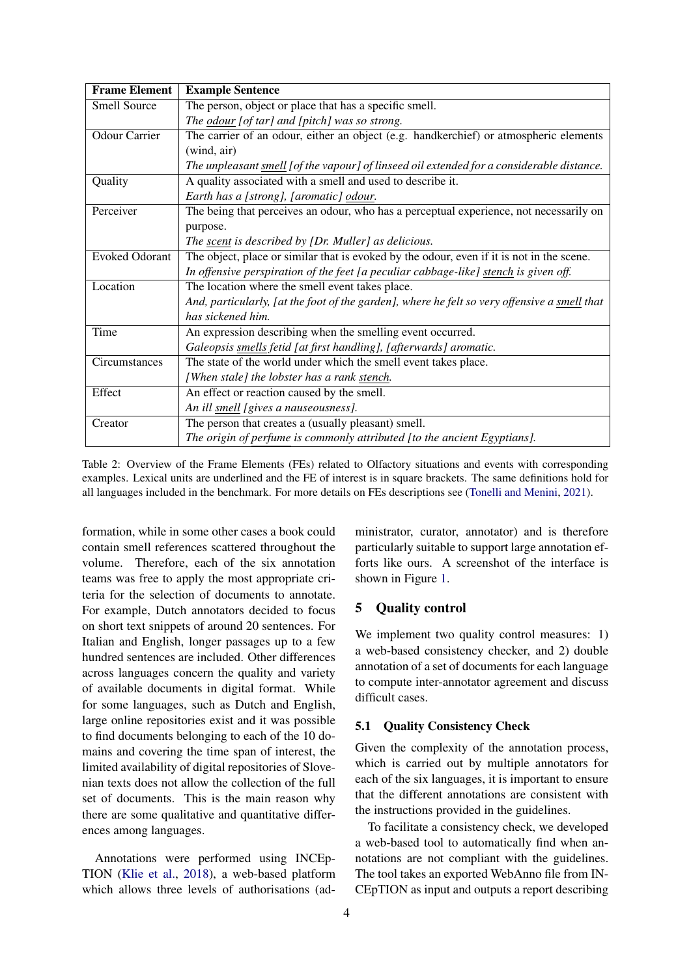<span id="page-3-0"></span>

| <b>Frame Element</b>  | <b>Example Sentence</b>                                                                      |  |  |  |  |  |  |
|-----------------------|----------------------------------------------------------------------------------------------|--|--|--|--|--|--|
| <b>Smell Source</b>   | The person, object or place that has a specific smell.                                       |  |  |  |  |  |  |
|                       | The odour [of tar] and [pitch] was so strong.                                                |  |  |  |  |  |  |
| <b>Odour Carrier</b>  | The carrier of an odour, either an object (e.g. handkerchief) or atmospheric elements        |  |  |  |  |  |  |
|                       | (wind, air)                                                                                  |  |  |  |  |  |  |
|                       | The unpleasant smell [of the vapour] of linseed oil extended for a considerable distance.    |  |  |  |  |  |  |
| Quality               | A quality associated with a smell and used to describe it.                                   |  |  |  |  |  |  |
|                       | Earth has a [strong], [aromatic] odour.                                                      |  |  |  |  |  |  |
| Perceiver             | The being that perceives an odour, who has a perceptual experience, not necessarily on       |  |  |  |  |  |  |
|                       | purpose.                                                                                     |  |  |  |  |  |  |
|                       | The scent is described by [Dr. Muller] as delicious.                                         |  |  |  |  |  |  |
| <b>Evoked Odorant</b> | The object, place or similar that is evoked by the odour, even if it is not in the scene.    |  |  |  |  |  |  |
|                       | In offensive perspiration of the feet [a peculiar cabbage-like] stench is given off.         |  |  |  |  |  |  |
| Location              | The location where the smell event takes place.                                              |  |  |  |  |  |  |
|                       | And, particularly, [at the foot of the garden], where he felt so very offensive a smell that |  |  |  |  |  |  |
|                       | has sickened him.                                                                            |  |  |  |  |  |  |
| Time                  | An expression describing when the smelling event occurred.                                   |  |  |  |  |  |  |
|                       | Galeopsis smells fetid [at first handling], [afterwards] aromatic.                           |  |  |  |  |  |  |
| Circumstances         | The state of the world under which the smell event takes place.                              |  |  |  |  |  |  |
|                       | [When stale] the lobster has a rank stench.                                                  |  |  |  |  |  |  |
| Effect                | An effect or reaction caused by the smell.                                                   |  |  |  |  |  |  |
|                       | An ill smell [gives a nauseousness].                                                         |  |  |  |  |  |  |
| Creator               | The person that creates a (usually pleasant) smell.                                          |  |  |  |  |  |  |
|                       | The origin of perfume is commonly attributed [to the ancient Egyptians].                     |  |  |  |  |  |  |

Table 2: Overview of the Frame Elements (FEs) related to Olfactory situations and events with corresponding examples. Lexical units are underlined and the FE of interest is in square brackets. The same definitions hold for all languages included in the benchmark. For more details on FEs descriptions see [\(Tonelli and Menini,](#page-9-5) [2021\)](#page-9-5).

formation, while in some other cases a book could contain smell references scattered throughout the volume. Therefore, each of the six annotation teams was free to apply the most appropriate criteria for the selection of documents to annotate. For example, Dutch annotators decided to focus on short text snippets of around 20 sentences. For Italian and English, longer passages up to a few hundred sentences are included. Other differences across languages concern the quality and variety of available documents in digital format. While for some languages, such as Dutch and English, large online repositories exist and it was possible to find documents belonging to each of the 10 domains and covering the time span of interest, the limited availability of digital repositories of Slovenian texts does not allow the collection of the full set of documents. This is the main reason why there are some qualitative and quantitative differences among languages.

Annotations were performed using INCEp-TION [\(Klie et al.,](#page-8-10) [2018\)](#page-8-10), a web-based platform which allows three levels of authorisations (administrator, curator, annotator) and is therefore particularly suitable to support large annotation efforts like ours. A screenshot of the interface is shown in Figure [1.](#page-4-0)

## 5 Quality control

We implement two quality control measures: 1) a web-based consistency checker, and 2) double annotation of a set of documents for each language to compute inter-annotator agreement and discuss difficult cases.

## 5.1 Quality Consistency Check

Given the complexity of the annotation process, which is carried out by multiple annotators for each of the six languages, it is important to ensure that the different annotations are consistent with the instructions provided in the guidelines.

To facilitate a consistency check, we developed a web-based tool to automatically find when annotations are not compliant with the guidelines. The tool takes an exported WebAnno file from IN-CEpTION as input and outputs a report describing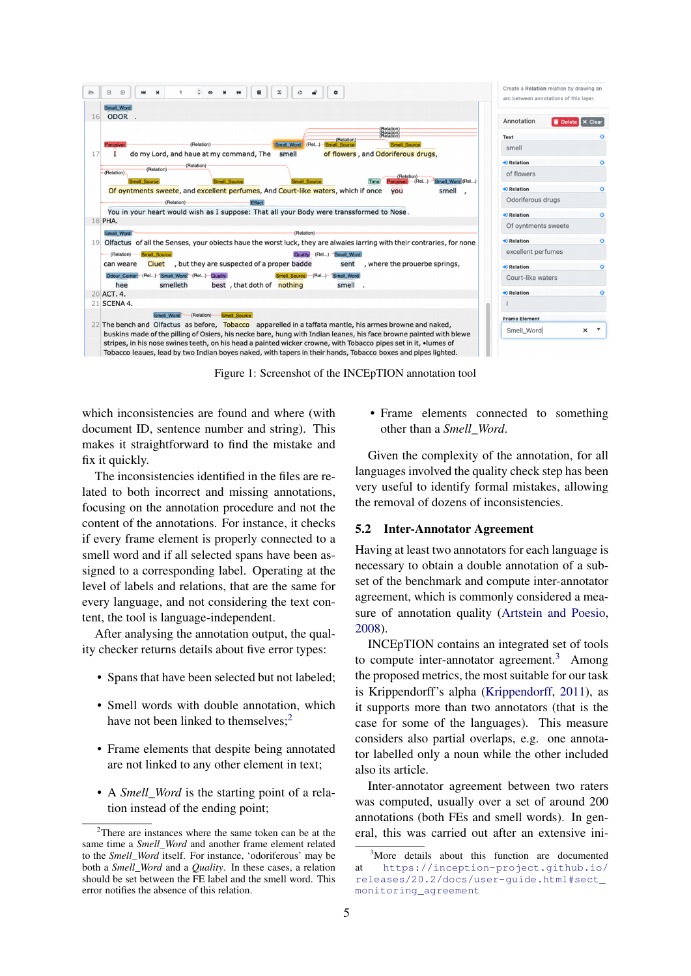<span id="page-4-0"></span>

Figure 1: Screenshot of the INCEpTION annotation tool

which inconsistencies are found and where (with document ID, sentence number and string). This makes it straightforward to find the mistake and fix it quickly.

The inconsistencies identified in the files are related to both incorrect and missing annotations, focusing on the annotation procedure and not the content of the annotations. For instance, it checks if every frame element is properly connected to a smell word and if all selected spans have been assigned to a corresponding label. Operating at the level of labels and relations, that are the same for every language, and not considering the text content, the tool is language-independent.

After analysing the annotation output, the quality checker returns details about five error types:

- Spans that have been selected but not labeled;
- Smell words with double annotation, which have not been linked to themselves;<sup>[2](#page-4-1)</sup>
- Frame elements that despite being annotated are not linked to any other element in text;
- A *Smell\_Word* is the starting point of a relation instead of the ending point;

• Frame elements connected to something other than a *Smell\_Word*.

Given the complexity of the annotation, for all languages involved the quality check step has been very useful to identify formal mistakes, allowing the removal of dozens of inconsistencies.

### 5.2 Inter-Annotator Agreement

Having at least two annotators for each language is necessary to obtain a double annotation of a subset of the benchmark and compute inter-annotator agreement, which is commonly considered a measure of annotation quality [\(Artstein and Poesio,](#page-8-11) [2008\)](#page-8-11).

INCEpTION contains an integrated set of tools to compute inter-annotator agreement.<sup>[3](#page-4-2)</sup> Among the proposed metrics, the most suitable for our task is Krippendorff's alpha [\(Krippendorff,](#page-8-12) [2011\)](#page-8-12), as it supports more than two annotators (that is the case for some of the languages). This measure considers also partial overlaps, e.g. one annotator labelled only a noun while the other included also its article.

Inter-annotator agreement between two raters was computed, usually over a set of around 200 annotations (both FEs and smell words). In general, this was carried out after an extensive ini-

<span id="page-4-1"></span><sup>&</sup>lt;sup>2</sup>There are instances where the same token can be at the same time a *Smell\_Word* and another frame element related to the *Smell\_Word* itself. For instance, 'odoriferous' may be both a *Smell\_Word* and a *Quality*. In these cases, a relation should be set between the FE label and the smell word. This error notifies the absence of this relation.

<span id="page-4-2"></span><sup>&</sup>lt;sup>3</sup>More details about this function are documented at [https://inception-project.github.io/](https://inception-project.github.io/releases/20.2/docs/user-guide.html#sect_monitoring_agreement) [releases/20.2/docs/user-guide.html#sect\\_](https://inception-project.github.io/releases/20.2/docs/user-guide.html#sect_monitoring_agreement) [monitoring\\_agreement](https://inception-project.github.io/releases/20.2/docs/user-guide.html#sect_monitoring_agreement)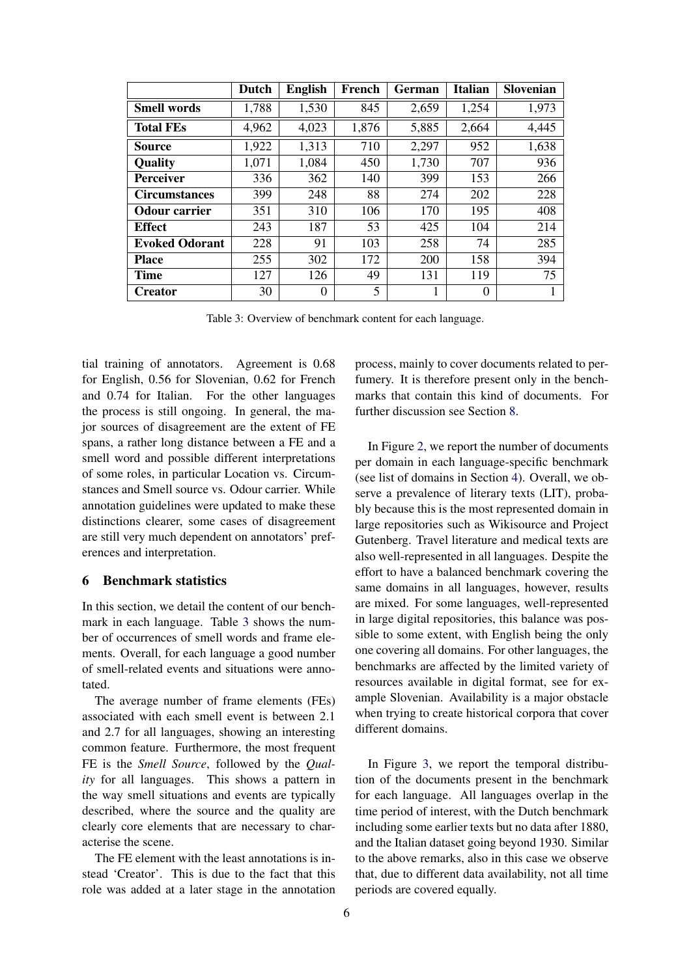<span id="page-5-0"></span>

|                       | Dutch | <b>English</b> | French | German | <b>Italian</b> | Slovenian |
|-----------------------|-------|----------------|--------|--------|----------------|-----------|
| <b>Smell words</b>    | 1,788 | 1,530          | 845    | 2,659  | 1,254          | 1,973     |
| <b>Total FEs</b>      | 4,962 | 4,023          | 1,876  | 5,885  | 2,664          | 4,445     |
| Source                | 1,922 | 1,313          | 710    | 2,297  | 952            | 1,638     |
| Quality               | 1,071 | 1,084          | 450    | 1,730  | 707            | 936       |
| <b>Perceiver</b>      | 336   | 362            | 140    | 399    | 153            | 266       |
| <b>Circumstances</b>  | 399   | 248            | 88     | 274    | 202            | 228       |
| <b>Odour carrier</b>  | 351   | 310            | 106    | 170    | 195            | 408       |
| <b>Effect</b>         | 243   | 187            | 53     | 425    | 104            | 214       |
| <b>Evoked Odorant</b> | 228   | 91             | 103    | 258    | 74             | 285       |
| <b>Place</b>          | 255   | 302            | 172    | 200    | 158            | 394       |
| <b>Time</b>           | 127   | 126            | 49     | 131    | 119            | 75        |
| <b>Creator</b>        | 30    | $\theta$       | 5      |        | $\theta$       |           |

Table 3: Overview of benchmark content for each language.

tial training of annotators. Agreement is 0.68 for English, 0.56 for Slovenian, 0.62 for French and 0.74 for Italian. For the other languages the process is still ongoing. In general, the major sources of disagreement are the extent of FE spans, a rather long distance between a FE and a smell word and possible different interpretations of some roles, in particular Location vs. Circumstances and Smell source vs. Odour carrier. While annotation guidelines were updated to make these distinctions clearer, some cases of disagreement are still very much dependent on annotators' preferences and interpretation.

## <span id="page-5-1"></span>6 Benchmark statistics

In this section, we detail the content of our benchmark in each language. Table [3](#page-5-0) shows the number of occurrences of smell words and frame elements. Overall, for each language a good number of smell-related events and situations were annotated.

The average number of frame elements (FEs) associated with each smell event is between 2.1 and 2.7 for all languages, showing an interesting common feature. Furthermore, the most frequent FE is the *Smell Source*, followed by the *Quality* for all languages. This shows a pattern in the way smell situations and events are typically described, where the source and the quality are clearly core elements that are necessary to characterise the scene.

The FE element with the least annotations is instead 'Creator'. This is due to the fact that this role was added at a later stage in the annotation process, mainly to cover documents related to perfumery. It is therefore present only in the benchmarks that contain this kind of documents. For further discussion see Section [8.](#page-7-0)

In Figure [2,](#page-6-0) we report the number of documents per domain in each language-specific benchmark (see list of domains in Section [4\)](#page-1-1). Overall, we observe a prevalence of literary texts (LIT), probably because this is the most represented domain in large repositories such as Wikisource and Project Gutenberg. Travel literature and medical texts are also well-represented in all languages. Despite the effort to have a balanced benchmark covering the same domains in all languages, however, results are mixed. For some languages, well-represented in large digital repositories, this balance was possible to some extent, with English being the only one covering all domains. For other languages, the benchmarks are affected by the limited variety of resources available in digital format, see for example Slovenian. Availability is a major obstacle when trying to create historical corpora that cover different domains.

In Figure [3,](#page-6-1) we report the temporal distribution of the documents present in the benchmark for each language. All languages overlap in the time period of interest, with the Dutch benchmark including some earlier texts but no data after 1880, and the Italian dataset going beyond 1930. Similar to the above remarks, also in this case we observe that, due to different data availability, not all time periods are covered equally.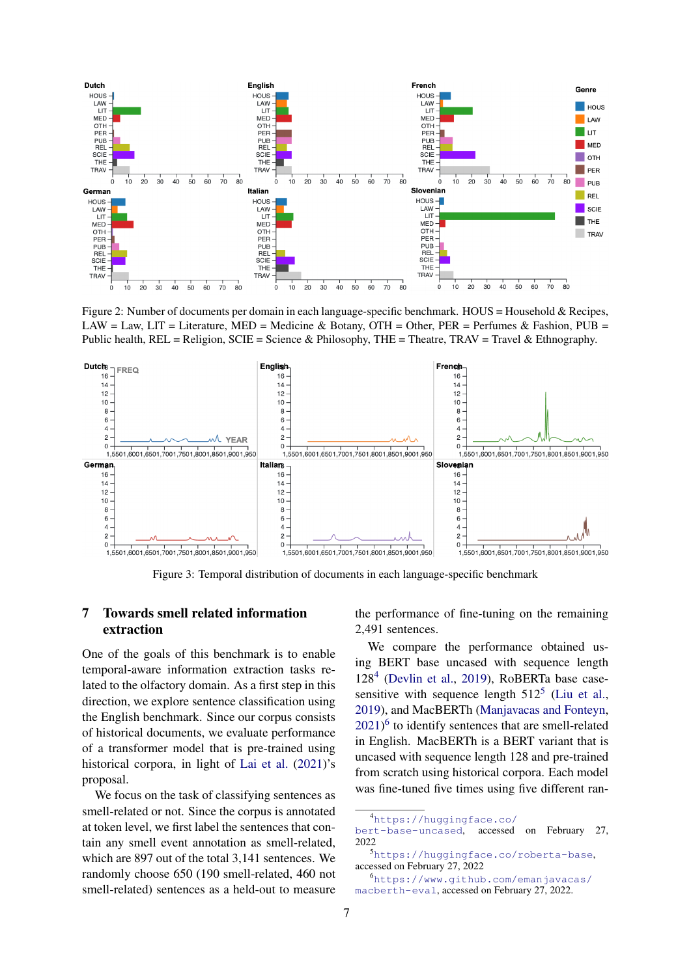<span id="page-6-0"></span>

Figure 2: Number of documents per domain in each language-specific benchmark. HOUS = Household & Recipes, LAW = Law, LIT = Literature, MED = Medicine & Botany, OTH = Other, PER = Perfumes & Fashion, PUB = Public health,  $REL = Religion$ ,  $SCIE = Science$  & Philosophy, THE = Theatre, TRAV = Travel & Ethnography.

<span id="page-6-1"></span>

Figure 3: Temporal distribution of documents in each language-specific benchmark

## <span id="page-6-5"></span>7 Towards smell related information extraction

One of the goals of this benchmark is to enable temporal-aware information extraction tasks related to the olfactory domain. As a first step in this direction, we explore sentence classification using the English benchmark. Since our corpus consists of historical documents, we evaluate performance of a transformer model that is pre-trained using historical corpora, in light of [Lai et al.](#page-8-13) [\(2021\)](#page-8-13)'s proposal.

We focus on the task of classifying sentences as smell-related or not. Since the corpus is annotated at token level, we first label the sentences that contain any smell event annotation as smell-related, which are 897 out of the total 3,141 sentences. We randomly choose 650 (190 smell-related, 460 not smell-related) sentences as a held-out to measure the performance of fine-tuning on the remaining 2,491 sentences.

We compare the performance obtained using BERT base uncased with sequence length 128[4](#page-6-2) [\(Devlin et al.,](#page-8-14) [2019\)](#page-8-14), RoBERTa base casesensitive with sequence length  $512^5$  $512^5$  [\(Liu et al.,](#page-8-15) [2019\)](#page-8-15), and MacBERTh [\(Manjavacas and Fonteyn,](#page-8-16) [2021\)](#page-8-16) [6](#page-6-4) to identify sentences that are smell-related in English. MacBERTh is a BERT variant that is uncased with sequence length 128 and pre-trained from scratch using historical corpora. Each model was fine-tuned five times using five different ran-

<span id="page-6-2"></span><sup>4</sup>[https://huggingface.co/](https://huggingface.co/bert-base-uncased)

[bert-base-uncased](https://huggingface.co/bert-base-uncased), accessed on February 27, 2022

<span id="page-6-3"></span><sup>5</sup><https://huggingface.co/roberta-base>, accessed on February 27, 2022

<span id="page-6-4"></span><sup>6</sup>[https://www.github.com/emanjavacas/](https://www.github.com/emanjavacas/macberth-eval) [macberth-eval](https://www.github.com/emanjavacas/macberth-eval), accessed on February 27, 2022.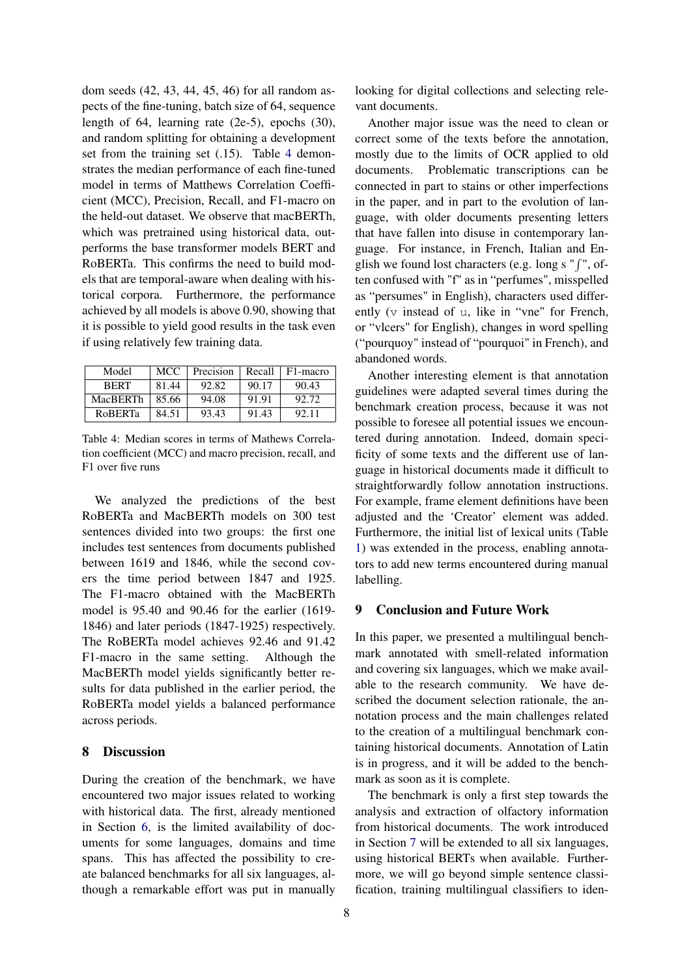dom seeds (42, 43, 44, 45, 46) for all random aspects of the fine-tuning, batch size of 64, sequence length of 64, learning rate (2e-5), epochs (30), and random splitting for obtaining a development set from the training set (.15). Table [4](#page-7-1) demonstrates the median performance of each fine-tuned model in terms of Matthews Correlation Coefficient (MCC), Precision, Recall, and F1-macro on the held-out dataset. We observe that macBERTh, which was pretrained using historical data, outperforms the base transformer models BERT and RoBERTa. This confirms the need to build models that are temporal-aware when dealing with historical corpora. Furthermore, the performance achieved by all models is above 0.90, showing that it is possible to yield good results in the task even if using relatively few training data.

<span id="page-7-1"></span>

| Model          | MCC.  | Precision | Recall | F1-macro |
|----------------|-------|-----------|--------|----------|
| <b>RERT</b>    | 81.44 | 92.82     | 90.17  | 90.43    |
| MacBERTh       | 85.66 | 94.08     | 91.91  | 92.72    |
| <b>ROBERTA</b> | 84.51 | 93.43     | 91.43  | 92.11    |

Table 4: Median scores in terms of Mathews Correlation coefficient (MCC) and macro precision, recall, and F1 over five runs

We analyzed the predictions of the best RoBERTa and MacBERTh models on 300 test sentences divided into two groups: the first one includes test sentences from documents published between 1619 and 1846, while the second covers the time period between 1847 and 1925. The F1-macro obtained with the MacBERTh model is 95.40 and 90.46 for the earlier (1619- 1846) and later periods (1847-1925) respectively. The RoBERTa model achieves 92.46 and 91.42 F1-macro in the same setting. Although the MacBERTh model yields significantly better results for data published in the earlier period, the RoBERTa model yields a balanced performance across periods.

#### <span id="page-7-0"></span>8 Discussion

During the creation of the benchmark, we have encountered two major issues related to working with historical data. The first, already mentioned in Section [6,](#page-5-1) is the limited availability of documents for some languages, domains and time spans. This has affected the possibility to create balanced benchmarks for all six languages, although a remarkable effort was put in manually looking for digital collections and selecting relevant documents.

Another major issue was the need to clean or correct some of the texts before the annotation, mostly due to the limits of OCR applied to old documents. Problematic transcriptions can be connected in part to stains or other imperfections in the paper, and in part to the evolution of language, with older documents presenting letters that have fallen into disuse in contemporary language. For instance, in French, Italian and English we found lost characters (e.g. long s " $\int$ ", often confused with "f" as in "perfumes", misspelled as "persumes" in English), characters used differently (v instead of u, like in "vne" for French, or "vlcers" for English), changes in word spelling ("pourquoy" instead of "pourquoi" in French), and abandoned words.

Another interesting element is that annotation guidelines were adapted several times during the benchmark creation process, because it was not possible to foresee all potential issues we encountered during annotation. Indeed, domain specificity of some texts and the different use of language in historical documents made it difficult to straightforwardly follow annotation instructions. For example, frame element definitions have been adjusted and the 'Creator' element was added. Furthermore, the initial list of lexical units (Table [1\)](#page-2-0) was extended in the process, enabling annotators to add new terms encountered during manual labelling.

#### 9 Conclusion and Future Work

In this paper, we presented a multilingual benchmark annotated with smell-related information and covering six languages, which we make available to the research community. We have described the document selection rationale, the annotation process and the main challenges related to the creation of a multilingual benchmark containing historical documents. Annotation of Latin is in progress, and it will be added to the benchmark as soon as it is complete.

The benchmark is only a first step towards the analysis and extraction of olfactory information from historical documents. The work introduced in Section [7](#page-6-5) will be extended to all six languages, using historical BERTs when available. Furthermore, we will go beyond simple sentence classification, training multilingual classifiers to iden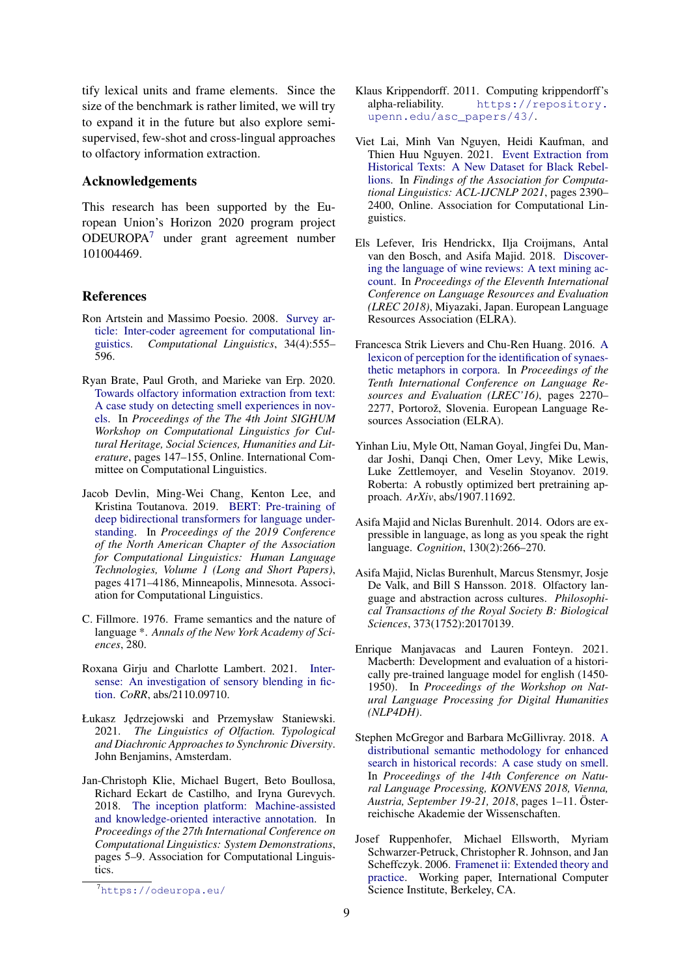tify lexical units and frame elements. Since the size of the benchmark is rather limited, we will try to expand it in the future but also explore semisupervised, few-shot and cross-lingual approaches to olfactory information extraction.

#### Acknowledgements

This research has been supported by the European Union's Horizon 2020 program project ODEUROPA[7](#page-8-17) under grant agreement number 101004469.

## References

- <span id="page-8-11"></span>Ron Artstein and Massimo Poesio. 2008. [Survey ar](https://doi.org/10.1162/coli.07-034-R2)[ticle: Inter-coder agreement for computational lin](https://doi.org/10.1162/coli.07-034-R2)[guistics.](https://doi.org/10.1162/coli.07-034-R2) *Computational Linguistics*, 34(4):555– 596.
- <span id="page-8-6"></span>Ryan Brate, Paul Groth, and Marieke van Erp. 2020. [Towards olfactory information extraction from text:](https://aclanthology.org/2020.latechclfl-1.18) [A case study on detecting smell experiences in nov](https://aclanthology.org/2020.latechclfl-1.18)[els.](https://aclanthology.org/2020.latechclfl-1.18) In *Proceedings of the The 4th Joint SIGHUM Workshop on Computational Linguistics for Cultural Heritage, Social Sciences, Humanities and Literature*, pages 147–155, Online. International Committee on Computational Linguistics.
- <span id="page-8-14"></span>Jacob Devlin, Ming-Wei Chang, Kenton Lee, and Kristina Toutanova. 2019. [BERT: Pre-training of](https://doi.org/10.18653/v1/N19-1423) [deep bidirectional transformers for language under](https://doi.org/10.18653/v1/N19-1423)[standing.](https://doi.org/10.18653/v1/N19-1423) In *Proceedings of the 2019 Conference of the North American Chapter of the Association for Computational Linguistics: Human Language Technologies, Volume 1 (Long and Short Papers)*, pages 4171–4186, Minneapolis, Minnesota. Association for Computational Linguistics.
- <span id="page-8-9"></span>C. Fillmore. 1976. Frame semantics and the nature of language \*. *Annals of the New York Academy of Sciences*, 280.
- <span id="page-8-5"></span>Roxana Girju and Charlotte Lambert. 2021. [Inter](http://arxiv.org/abs/2110.09710)[sense: An investigation of sensory blending in fic](http://arxiv.org/abs/2110.09710)[tion.](http://arxiv.org/abs/2110.09710) *CoRR*, abs/2110.09710.
- <span id="page-8-1"></span>Łukasz J˛edrzejowski and Przemysław Staniewski. 2021. *The Linguistics of Olfaction. Typological and Diachronic Approaches to Synchronic Diversity*. John Benjamins, Amsterdam.
- <span id="page-8-10"></span>Jan-Christoph Klie, Michael Bugert, Beto Boullosa, Richard Eckart de Castilho, and Iryna Gurevych. 2018. [The inception platform: Machine-assisted](http://tubiblio.ulb.tu-darmstadt.de/106270/) [and knowledge-oriented interactive annotation.](http://tubiblio.ulb.tu-darmstadt.de/106270/) In *Proceedings of the 27th International Conference on Computational Linguistics: System Demonstrations*, pages 5–9. Association for Computational Linguistics.
- <span id="page-8-12"></span>Klaus Krippendorff. 2011. Computing krippendorff's alpha-reliability. [https://repository.](https://repository.upenn.edu/asc_papers/43/) [upenn.edu/asc\\_papers/43/](https://repository.upenn.edu/asc_papers/43/).
- <span id="page-8-13"></span>Viet Lai, Minh Van Nguyen, Heidi Kaufman, and Thien Huu Nguyen. 2021. [Event Extraction from](https://doi.org/10.18653/v1/2021.findings-acl.211) [Historical Texts: A New Dataset for Black Rebel](https://doi.org/10.18653/v1/2021.findings-acl.211)[lions.](https://doi.org/10.18653/v1/2021.findings-acl.211) In *Findings of the Association for Computational Linguistics: ACL-IJCNLP 2021*, pages 2390– 2400, Online. Association for Computational Linguistics.
- <span id="page-8-0"></span>Els Lefever, Iris Hendrickx, Ilja Croijmans, Antal van den Bosch, and Asifa Majid. 2018. [Discover](https://aclanthology.org/L18-1521)[ing the language of wine reviews: A text mining ac](https://aclanthology.org/L18-1521)[count.](https://aclanthology.org/L18-1521) In *Proceedings of the Eleventh International Conference on Language Resources and Evaluation (LREC 2018)*, Miyazaki, Japan. European Language Resources Association (ELRA).
- <span id="page-8-4"></span>Francesca Strik Lievers and Chu-Ren Huang. 2016. [A](https://aclanthology.org/L16-1360) [lexicon of perception for the identification of synaes](https://aclanthology.org/L16-1360)[thetic metaphors in corpora.](https://aclanthology.org/L16-1360) In *Proceedings of the Tenth International Conference on Language Resources and Evaluation (LREC'16)*, pages 2270– 2277, Portorož, Slovenia. European Language Resources Association (ELRA).
- <span id="page-8-15"></span>Yinhan Liu, Myle Ott, Naman Goyal, Jingfei Du, Mandar Joshi, Danqi Chen, Omer Levy, Mike Lewis, Luke Zettlemoyer, and Veselin Stoyanov. 2019. Roberta: A robustly optimized bert pretraining approach. *ArXiv*, abs/1907.11692.
- <span id="page-8-2"></span>Asifa Majid and Niclas Burenhult. 2014. Odors are expressible in language, as long as you speak the right language. *Cognition*, 130(2):266–270.
- <span id="page-8-3"></span>Asifa Majid, Niclas Burenhult, Marcus Stensmyr, Josje De Valk, and Bill S Hansson. 2018. Olfactory language and abstraction across cultures. *Philosophical Transactions of the Royal Society B: Biological Sciences*, 373(1752):20170139.
- <span id="page-8-16"></span>Enrique Manjavacas and Lauren Fonteyn. 2021. Macberth: Development and evaluation of a historically pre-trained language model for english (1450- 1950). In *Proceedings of the Workshop on Natural Language Processing for Digital Humanities (NLP4DH)*.
- <span id="page-8-7"></span>Stephen McGregor and Barbara McGillivray. 2018. [A](https://www.oeaw.ac.at/fileadmin/subsites/academiaecorpora/PDF/konvens18_01.pdf) [distributional semantic methodology for enhanced](https://www.oeaw.ac.at/fileadmin/subsites/academiaecorpora/PDF/konvens18_01.pdf) [search in historical records: A case study on smell.](https://www.oeaw.ac.at/fileadmin/subsites/academiaecorpora/PDF/konvens18_01.pdf) In *Proceedings of the 14th Conference on Natural Language Processing, KONVENS 2018, Vienna, Austria, September 19-21, 2018*, pages 1–11. Österreichische Akademie der Wissenschaften.
- <span id="page-8-8"></span>Josef Ruppenhofer, Michael Ellsworth, Myriam Schwarzer-Petruck, Christopher R. Johnson, and Jan Scheffczyk. 2006. [Framenet ii: Extended theory and](https://nbn-resolving.org/urn:nbn:de:bsz:mh39-54153) [practice.](https://nbn-resolving.org/urn:nbn:de:bsz:mh39-54153) Working paper, International Computer Science Institute, Berkeley, CA.

<span id="page-8-17"></span><sup>7</sup><https://odeuropa.eu/>